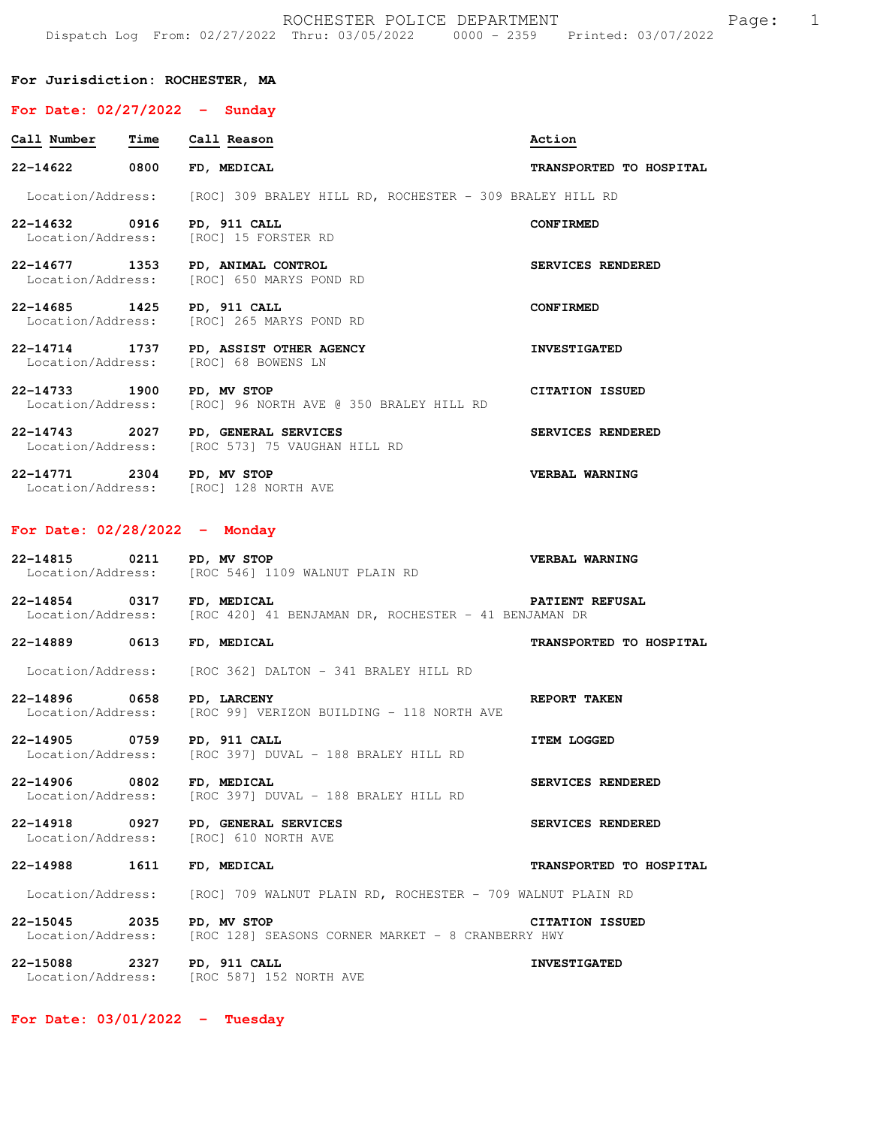### **For Jurisdiction: ROCHESTER, MA**

# **For Date: 02/27/2022 - Sunday**

| Call Number                        | <b>Time</b> | Call Reason                                                                   | Action                   |
|------------------------------------|-------------|-------------------------------------------------------------------------------|--------------------------|
| 22-14622 0800                      |             | FD, MEDICAL                                                                   | TRANSPORTED TO HOSPITAL  |
|                                    |             | Location/Address: [ROC] 309 BRALEY HILL RD, ROCHESTER - 309 BRALEY HILL RD    |                          |
| 22-14632 0916 PD, 911 CALL         |             | Location/Address: [ROC] 15 FORSTER RD                                         | <b>CONFIRMED</b>         |
|                                    |             | 22-14677 1353 PD, ANIMAL CONTROL<br>Location/Address: [ROC] 650 MARYS POND RD | <b>SERVICES RENDERED</b> |
| 22-14685 1425 PD, 911 CALL         |             | Location/Address: [ROC] 265 MARYS POND RD                                     | <b>CONFIRMED</b>         |
|                                    |             | 22-14714 1737 PD, ASSIST OTHER AGENCY<br>Location/Address: [ROC] 68 BOWENS LN | <b>INVESTIGATED</b>      |
| 22-14733 1900 PD, MV STOP          |             | Location/Address: [ROC] 96 NORTH AVE @ 350 BRALEY HILL RD                     | <b>CITATION ISSUED</b>   |
| 22-14743 2027<br>Location/Address: |             | PD, GENERAL SERVICES<br>[ROC 573] 75 VAUGHAN HILL RD                          | <b>SERVICES RENDERED</b> |
| $22 - 14771$                       |             | 2304 PD, MV STOP                                                              | VERBAL WARNING           |

Location/Address: [ROC] 128 NORTH AVE

# **For Date: 02/28/2022 - Monday**

| 22-14815          | 0211 | PD, MV STOP                    |  |  | VERBAL WARNING |
|-------------------|------|--------------------------------|--|--|----------------|
| Location/Address: |      | [ROC 546] 1109 WALNUT PLAIN RD |  |  |                |

**22-14854 0317 FD, MEDICAL PATIENT REFUSAL**  Location/Address: [ROC 420] 41 BENJAMAN DR, ROCHESTER - 41 BENJAMAN DR

**22-14889 0613 FD, MEDICAL TRANSPORTED TO HOSPITAL** 

Location/Address: [ROC 362] DALTON - 341 BRALEY HILL RD

**22-14896 0658 PD, LARCENY REPORT TAKEN**<br>Location/Address: [ROC 99] VERIZON BUILDING - 118 NORTH AVE [ROC 99] VERIZON BUILDING - 118 NORTH AVE

**22-14905** 0759 PD, 911 CALL **ITEM LOGGED** Location/Address: [ROC 397] DUVAL - 188 BRALEY HILL RD [ROC 397] DUVAL - 188 BRALEY HILL RD

**22-14906 0802 FD, MEDICAL SERVICES RENDERED**<br>Location/Address: [ROC 397] DUVAL - 188 BRALEY HILL RD [ROC 397] DUVAL - 188 BRALEY HILL RD

[ROC 587] 152 NORTH AVE

**22-14918 0927 PD, GENERAL SERVICES SERVICES RENDERED**  Location/Address:

**22-14988 1611 FD, MEDICAL TRANSPORTED TO HOSPITAL**  Location/Address: [ROC] 709 WALNUT PLAIN RD, ROCHESTER - 709 WALNUT PLAIN RD

**22-15045 2035 PD, MV STOP CITATION ISSUED**<br>Location/Address: [ROC 128] SEASONS CORNER MARKET - 8 CRANBERRY HWY [ROC 128] SEASONS CORNER MARKET - 8 CRANBERRY HWY **22-15088** 2327 PD, 911 CALL **INVESTIGATED**<br>
Location/Address: [ROC 587] 152 NORTH AVE

**For Date: 03/01/2022 - Tuesday**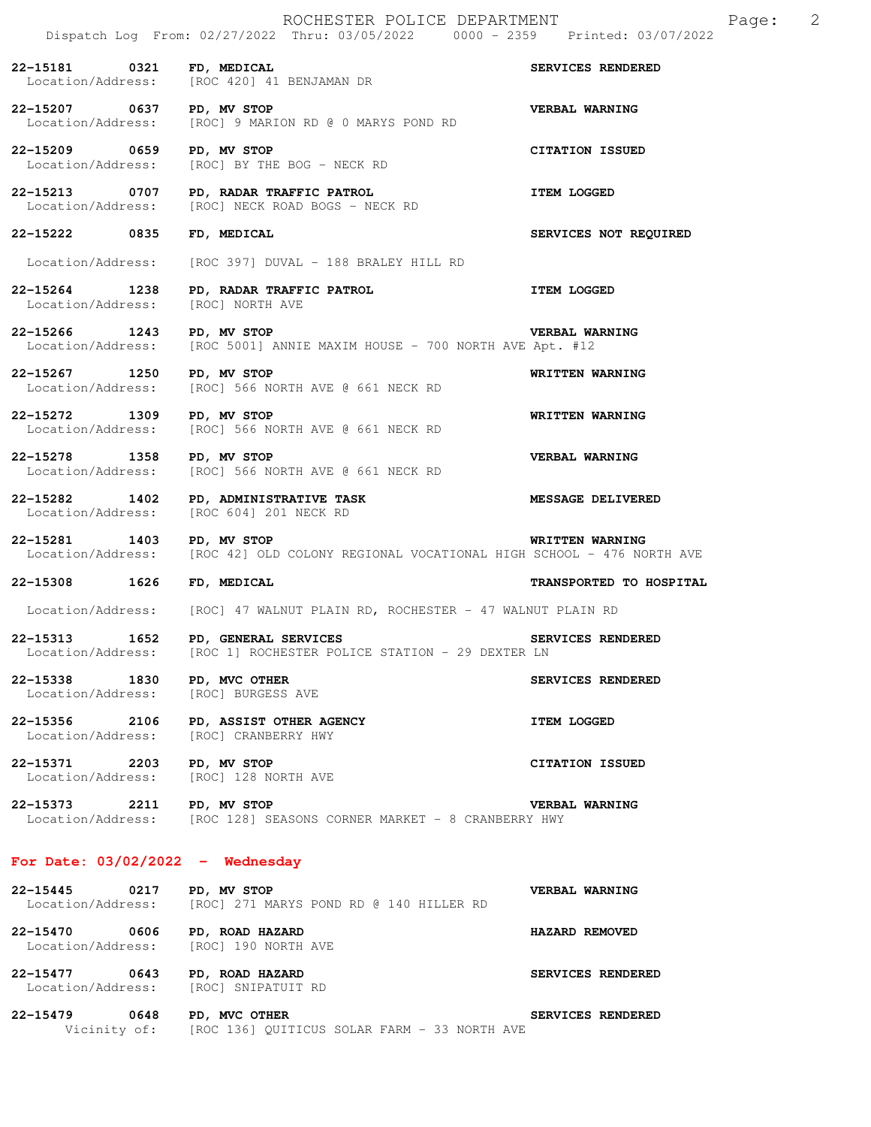|                             |      | ROCHESTER POLICE DEPARTMENT<br>Dispatch Log From: 02/27/2022 Thru: 03/05/2022 0000 - 2359 Printed: 03/07/2022 |                          | Page: 2 |  |
|-----------------------------|------|---------------------------------------------------------------------------------------------------------------|--------------------------|---------|--|
| 22-15181 0321 FD, MEDICAL   |      | Location/Address: [ROC 420] 41 BENJAMAN DR                                                                    | SERVICES RENDERED        |         |  |
| 22-15207 0637 PD, MV STOP   |      | Location/Address: [ROC] 9 MARION RD @ 0 MARYS POND RD                                                         | VERBAL WARNING           |         |  |
| 22-15209 0659 PD, MV STOP   |      | Location/Address: [ROC] BY THE BOG - NECK RD                                                                  | CITATION ISSUED          |         |  |
|                             |      | 22-15213 0707 PD, RADAR TRAFFIC PATROL<br>Location/Address: [ROC] NECK ROAD BOGS - NECK RD                    | <b>ITEM LOGGED</b>       |         |  |
| 22-15222 0835               |      | FD, MEDICAL                                                                                                   | SERVICES NOT REQUIRED    |         |  |
|                             |      | Location/Address: [ROC 397] DUVAL - 188 BRALEY HILL RD                                                        |                          |         |  |
| Location/Address:           |      | 22-15264 1238 PD, RADAR TRAFFIC PATROL<br>[ROC] NORTH AVE                                                     | <b>ITEM LOGGED</b>       |         |  |
| 22-15266 1243 PD, MV STOP   |      | Location/Address: [ROC 5001] ANNIE MAXIM HOUSE - 700 NORTH AVE Apt. #12                                       | <b>VERBAL WARNING</b>    |         |  |
| 22-15267 1250 PD, MV STOP   |      | Location/Address: [ROC] 566 NORTH AVE @ 661 NECK RD                                                           | WRITTEN WARNING          |         |  |
| 22-15272 1309 PD, MV STOP   |      | Location/Address: [ROC] 566 NORTH AVE @ 661 NECK RD                                                           | WRITTEN WARNING          |         |  |
| 22-15278 1358 PD, MV STOP   |      | Location/Address: [ROC] 566 NORTH AVE @ 661 NECK RD                                                           | VERBAL WARNING           |         |  |
| Location/Address:           |      | 22-15282 1402 PD, ADMINISTRATIVE TASK<br>[ROC 604] 201 NECK RD                                                | <b>MESSAGE DELIVERED</b> |         |  |
| 22-15281 1403 PD, MV STOP   |      | Location/Address: [ROC 42] OLD COLONY REGIONAL VOCATIONAL HIGH SCHOOL - 476 NORTH AVE                         | WRITTEN WARNING          |         |  |
| 22-15308 1626 FD, MEDICAL   |      |                                                                                                               | TRANSPORTED TO HOSPITAL  |         |  |
|                             |      | Location/Address: [ROC] 47 WALNUT PLAIN RD, ROCHESTER - 47 WALNUT PLAIN RD                                    |                          |         |  |
| 22-15313                    | 1652 | PD, GENERAL SERVICES<br>Location/Address: [ROC 1] ROCHESTER POLICE STATION - 29 DEXTER LN                     | SERVICES RENDERED        |         |  |
| 22-15338 1830 PD, MVC OTHER |      | Location/Address: [ROC] BURGESS AVE                                                                           | SERVICES RENDERED        |         |  |
|                             |      | 22-15356 2106 PD, ASSIST OTHER AGENCY<br>Location/Address: [ROC] CRANBERRY HWY                                | <b>ITEM LOGGED</b>       |         |  |
| 22-15371 2203 PD, MV STOP   |      | Location/Address: [ROC] 128 NORTH AVE                                                                         | CITATION ISSUED          |         |  |
| 22-15373 2211 PD, MV STOP   |      | Location/Address: [ROC 128] SEASONS CORNER MARKET - 8 CRANBERRY HWY                                           | VERBAL WARNING           |         |  |
|                             |      | For Date: $03/02/2022 -$ Wednesday                                                                            |                          |         |  |
| 22-15445 0217 PD, MV STOP   |      | Location/Address: [ROC] 271 MARYS POND RD @ 140 HILLER RD                                                     | VERBAL WARNING           |         |  |
|                             |      | 22-15470 0606 PD, ROAD HAZARD<br>Location/Address: [ROC] 190 NORTH AVE                                        | HAZARD REMOVED           |         |  |
|                             |      | 22-15477 0643 PD, ROAD HAZARD                                                                                 | SERVICES RENDERED        |         |  |

 Location/Address: [ROC] SNIPATUIT RD **22-15479 0648 PD, MVC OTHER SERVICES RENDERED** 

Vicinity of: [ROC 136] QUITICUS SOLAR FARM - 33 NORTH AVE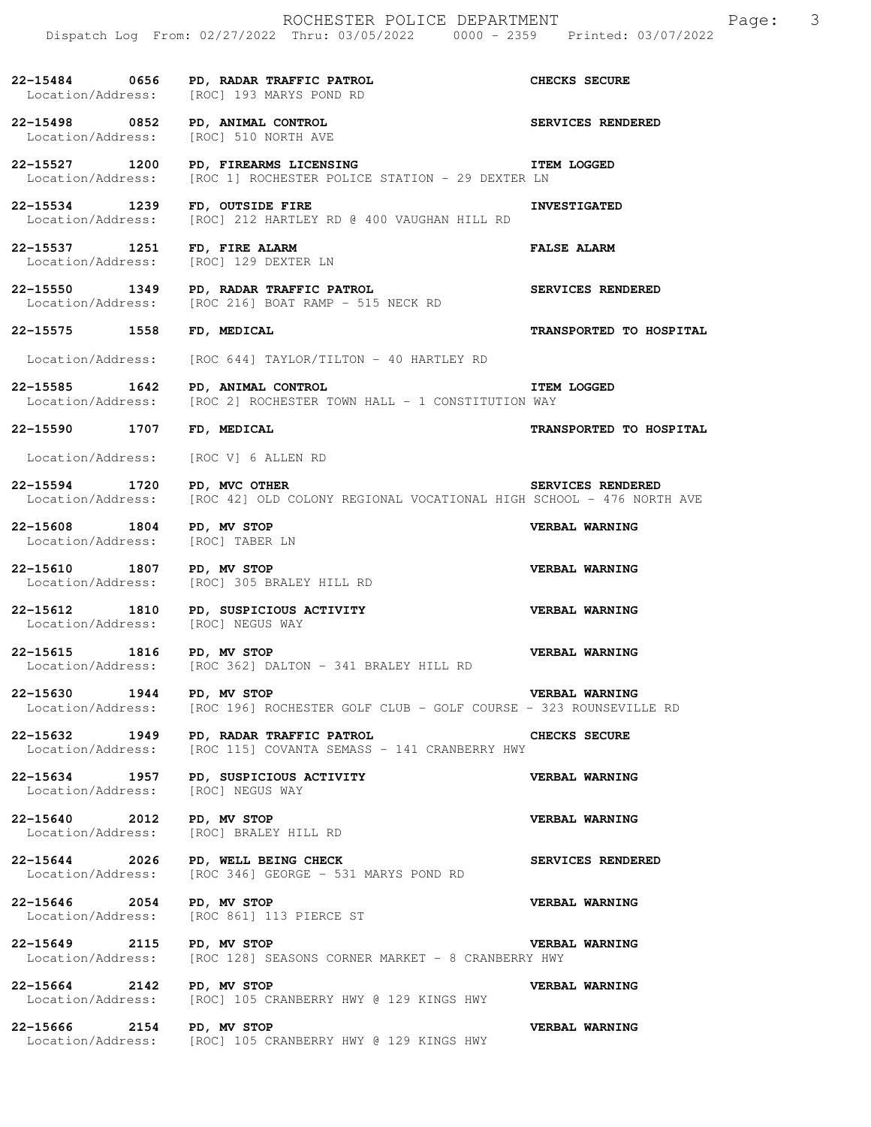|                                                                                       | 22-15484 0656 PD, RADAR TRAFFIC PATROL<br>Location/Address: [ROC] 193 MARYS POND RD                             | CHECKS SECURE            |
|---------------------------------------------------------------------------------------|-----------------------------------------------------------------------------------------------------------------|--------------------------|
| 22-15498 0852 PD, ANIMAL CONTROL<br>Location/Address: [ROC] 510 NORTH AVE             | SERVICES RENDERED                                                                                               |                          |
|                                                                                       | 22-15527 1200 PD, FIREARMS LICENSING<br>Location/Address: [ROC 1] ROCHESTER POLICE STATION - 29 DEXTER LN       | <b>ITEM LOGGED</b>       |
| 22-15534 1239                                                                         | FD, OUTSIDE FIRE<br>Location/Address: [ROC] 212 HARTLEY RD @ 400 VAUGHAN HILL RD                                | <b>INVESTIGATED</b>      |
| 22-15537 1251<br>2-15537 1251 FD, FIRE ALARM<br>Location/Address: [ROC] 129 DEXTER LN |                                                                                                                 | <b>FALSE ALARM</b>       |
|                                                                                       | 22-15550 1349 PD, RADAR TRAFFIC PATROL SERVICES RENDERED<br>Location/Address: [ROC 216] BOAT RAMP - 515 NECK RD |                          |
| 22-15575 1558 FD, MEDICAL                                                             |                                                                                                                 | TRANSPORTED TO HOSPITAL  |
|                                                                                       | $Location/Address:$ [ROC 644] TAYLOR/TILTON - 40 HARTLEY RD                                                     |                          |
| 1642<br>22-15585                                                                      | PD, ANIMAL CONTROL<br>Location/Address: [ROC 2] ROCHESTER TOWN HALL - 1 CONSTITUTION WAY                        | <b>ITEM LOGGED</b>       |
| 22-15590 1707 FD, MEDICAL                                                             |                                                                                                                 | TRANSPORTED TO HOSPITAL  |
| Location/Address: [ROC V] 6 ALLEN RD                                                  |                                                                                                                 |                          |
| 22-15594 1720                                                                         | <b>PD, MVC OTHER</b><br>Location/Address: [ROC 42] OLD COLONY REGIONAL VOCATIONAL HIGH SCHOOL - 476 NORTH AVE   | <b>SERVICES RENDERED</b> |
| 22-15608 1804 PD, MV STOP<br>Location/Address: [ROC] TABER LN                         |                                                                                                                 | VERBAL WARNING           |
| 22-15610 1807 PD, MV STOP                                                             | Location/Address: [ROC] 305 BRALEY HILL RD                                                                      | <b>VERBAL WARNING</b>    |
| Location/Address: [ROC] NEGUS WAY                                                     | 22-15612 1810 PD, SUSPICIOUS ACTIVITY                                                                           | <b>VERBAL WARNING</b>    |
| 22-15615 1816 PD, MV STOP                                                             | Location/Address: [ROC 362] DALTON - 341 BRALEY HILL RD                                                         | VERBAL WARNING           |
| 22-15630 1944 PD, MV STOP<br>Location/Address:                                        | [ROC 196] ROCHESTER GOLF CLUB - GOLF COURSE - 323 ROUNSEVILLE RD                                                | VERBAL WARNING           |
| 22-15632 1949<br>Location/Address:                                                    | PD, RADAR TRAFFIC PATROL<br>[ROC 115] COVANTA SEMASS - 141 CRANBERRY HWY                                        | CHECKS SECURE            |
| 22-15634 1957<br>Location/Address:                                                    | PD, SUSPICIOUS ACTIVITY<br>[ROC] NEGUS WAY                                                                      | VERBAL WARNING           |
| 22-15640 2012<br>Location/Address:                                                    | PD, MV STOP<br>[ROC] BRALEY HILL RD                                                                             | VERBAL WARNING           |
| 22-15644 2026<br>Location/Address:                                                    | PD, WELL BEING CHECK<br>[ROC 346] GEORGE - 531 MARYS POND RD                                                    | SERVICES RENDERED        |
| 22-15646 2054<br>Location/Address:                                                    | PD, MV STOP<br>[ROC 861] 113 PIERCE ST                                                                          | VERBAL WARNING           |
| 22-15649 2115                                                                         | PD, MV STOP<br>Location/Address: [ROC 128] SEASONS CORNER MARKET - 8 CRANBERRY HWY                              | VERBAL WARNING           |
| 22-15664 2142<br>Location/Address:                                                    | PD, MV STOP<br>[ROC] 105 CRANBERRY HWY @ 129 KINGS HWY                                                          | VERBAL WARNING           |
| 22-15666 2154<br>Location/Address:                                                    | PD, MV STOP<br>[ROC] 105 CRANBERRY HWY @ 129 KINGS HWY                                                          | VERBAL WARNING           |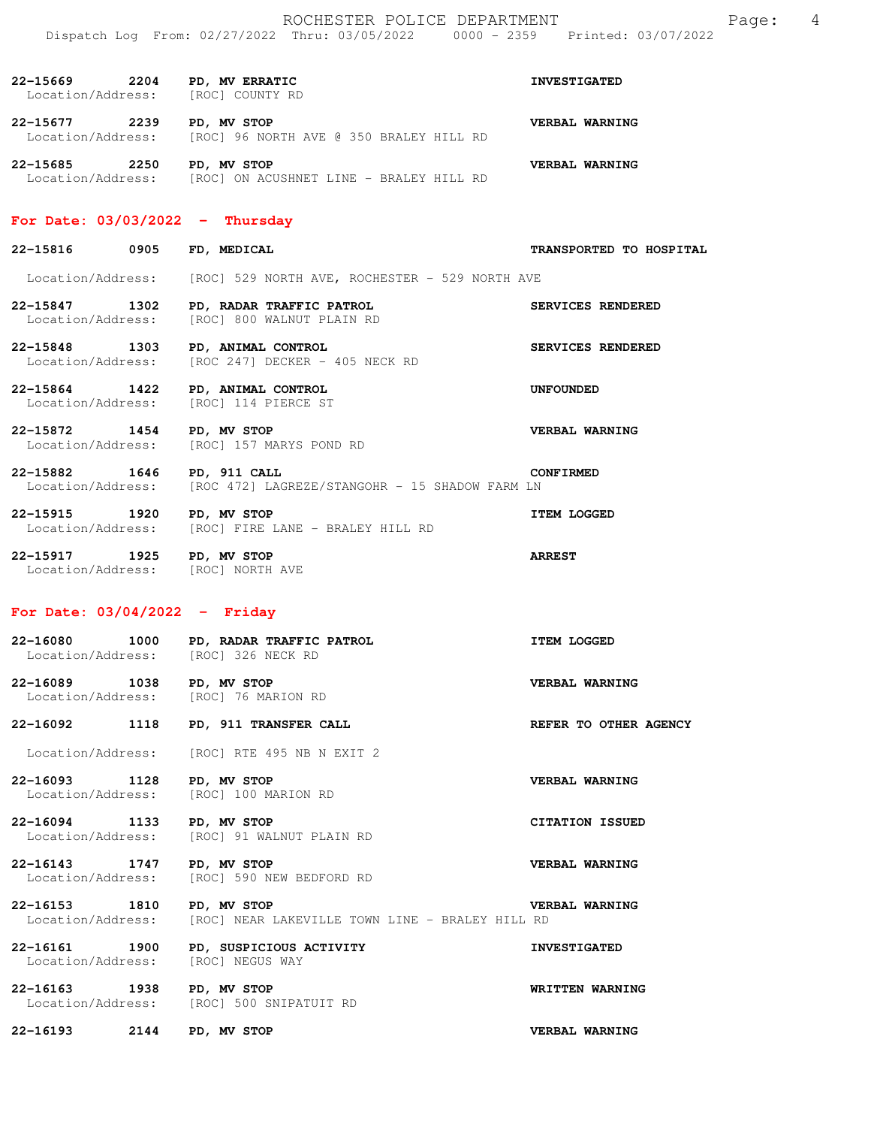| 22-15669<br>Location/Address: | 2204 | PD, MV ERRATIC<br>[ROC] COUNTY RD                      | <b>INVESTIGATED</b> |  |
|-------------------------------|------|--------------------------------------------------------|---------------------|--|
| 22-15677<br>Location/Address: | 2239 | PD, MV STOP<br>[ROC] 96 NORTH AVE @ 350 BRALEY HILL RD | VERBAL WARNING      |  |
| 22-15685<br>Location/Address: | 2250 | PD, MV STOP<br>[ROC] ON ACUSHNET LINE - BRALEY HILL RD | VERBAL WARNING      |  |

#### **For Date: 03/03/2022 - Thursday**

| 22-15816 | 0905 | <b>MEDICAL</b><br>FD. | <b>TRANSPORT</b> |
|----------|------|-----------------------|------------------|
|----------|------|-----------------------|------------------|

Location/Address: [ROC] 529 NORTH AVE, ROCHESTER - 529 NORTH AVE

- **22-15847 1302 PD, RADAR TRAFFIC PATROL SERVICES RENDERED**  [ROC] 800 WALNUT PLAIN RD
- **22-15848 1303 PD, ANIMAL CONTROL SERVICES RENDERED**  Location/Address: [ROC 247] DECKER - 405 NECK RD
- **22-15864 1422 PD, ANIMAL CONTROL UNFOUNDED**  [ROC] 114 PIERCE ST
- **22-15872 1454 PD, MV STOP VERBAL WARNING**  Location/Address: [ROC] 157 MARYS POND RD
- **22-15882 1646 PD, 911 CALL CONFIRMED**  Location/Address: [ROC 472] LAGREZE/STANGOHR - 15 SHADOW FARM LN
- **22-15915 1920 PD, MV STOP ITEM LOGGED**  Location/Address: [ROC] FIRE LANE - BRALEY HILL RD **22-15917 1925 PD, MV STOP ARREST**

### **For Date: 03/04/2022 - Friday**

Location/Address: [ROC] NORTH AVE

| 22-16080<br>1000<br>Location/Address:     | PD, RADAR TRAFFIC PATROL<br>[ROC] 326 NECK RD | <b>ITEM LOGGED</b>    |
|-------------------------------------------|-----------------------------------------------|-----------------------|
| 22-16089<br>1038<br>Location/Address:     | PD, MV STOP<br>[ROC] 76 MARION RD             | VERBAL WARNING        |
| 22-16092<br>1118                          | PD, 911 TRANSFER CALL                         | REFER TO OTHER AGENCY |
| Location/Address:                         | [ROC] RTE 495 NB N EXIT 2                     |                       |
| $22 - 16093$<br>1128<br>Location/Address: | PD, MV STOP<br>100 MARION RD<br>[ROC]         | VERBAL WARNING        |

**22-16094 1133 PD, MV STOP CITATION ISSUED**  Location/Address: [ROC] 91 WALNUT PLAIN RD

**22-16143 1747 PD, MV STOP CONSERVERBAL WARNING Location/Address:** [ROC] 590 NEW BEDFORD RD [ROC] 590 NEW BEDFORD RD

**22-16153 1810 PD, MV STOP VERBAL WARNING**  Location/Address: [ROC] NEAR LAKEVILLE TOWN LINE - BRALEY HILL RD

**22-16161 1900 PD, SUSPICIOUS ACTIVITY 1900 INVESTIGATED**<br>
Location/Address: [ROC] NEGUS WAY Location/Address:

**22-16163 1938 PD, MV STOP WRITTEN WARNING**  Location/Address: [ROC] 500 SNIPATUIT RD

**22-16193 2144 PD, MV STOP VERBAL WARNING** 

**22 D TO HOSPITAL**